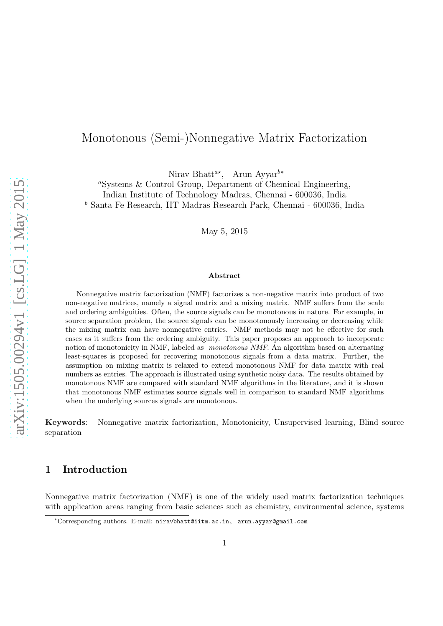# Monotonous (Semi-)Nonnegative Matrix Factorization

Nirav Bhatt<sup>a∗</sup>, Arun Ayyar<sup>b∗</sup>

<sup>a</sup>Systems & Control Group, Department of Chemical Engineering, Indian Institute of Technology Madras, Chennai - 600036, India <sup>b</sup> Santa Fe Research, IIT Madras Research Park, Chennai - 600036, India

May 5, 2015

#### Abstract

Nonnegative matrix factorization (NMF) factorizes a non-negative matrix into product of two non-negative matrices, namely a signal matrix and a mixing matrix. NMF suffers from the scale and ordering ambiguities. Often, the source signals can be monotonous in nature. For example, in source separation problem, the source signals can be monotonously increasing or decreasing while the mixing matrix can have nonnegative entries. NMF methods may not be effective for such cases as it suffers from the ordering ambiguity. This paper proposes an approach to incorporate notion of monotonicity in NMF, labeled as *monotonous NMF*. An algorithm based on alternating least-squares is proposed for recovering monotonous signals from a data matrix. Further, the assumption on mixing matrix is relaxed to extend monotonous NMF for data matrix with real numbers as entries. The approach is illustrated using synthetic noisy data. The results obtained by monotonous NMF are compared with standard NMF algorithms in the literature, and it is shown that monotonous NMF estimates source signals well in comparison to standard NMF algorithms when the underlying sources signals are monotonous.

Keywords: Nonnegative matrix factorization, Monotonicity, Unsupervised learning, Blind source separation

# 1 Introduction

Nonnegative matrix factorization (NMF) is one of the widely used matrix factorization techniques with application areas ranging from basic sciences such as chemistry, environmental science, systems

<sup>∗</sup>Corresponding authors. E-mail: niravbhatt@iitm.ac.in, arun.ayyar@gmail.com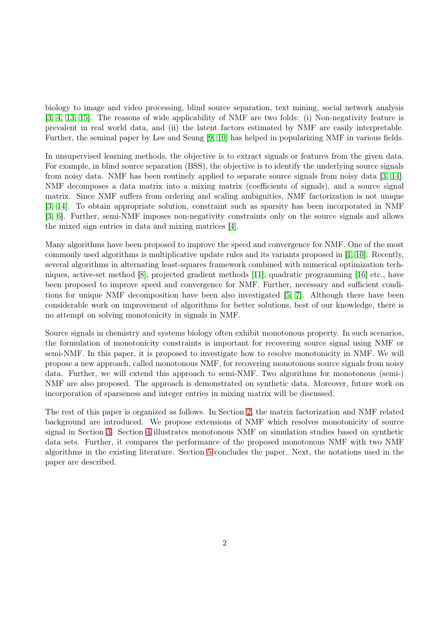biology to image and video processing, blind source separation, text mining, social network analysis [\[3,](#page-9-0) [4,](#page-9-1) [13,](#page-10-0) [15\]](#page-10-1). The reasons of wide applicability of NMF are two folds: (i) Non-negativity feature is prevalent in real world data, and (ii) the latent factors estimated by NMF are easily interpretable. Further, the seminal paper by Lee and Seung [\[9,](#page-10-2) [10\]](#page-10-3) has helped in popularizing NMF in various fields.

In unsupervised learning methods, the objective is to extract signals or features from the given data. For example, in blind source separation (BSS), the objective is to identify the underlying source signals from noisy data. NMF has been routinely applied to separate source signals from noisy data [\[3,](#page-9-0) [14\]](#page-10-4). NMF decomposes a data matrix into a mixing matrix (coefficients of signals), and a source signal matrix. Since NMF suffers from ordering and scaling ambiguities, NMF factorization is not unique [\[3,](#page-9-0) [14\]](#page-10-4). To obtain appropriate solution, constraint such as sparsity has been incorporated in NMF [\[3,](#page-9-0) [6\]](#page-9-2). Further, semi-NMF imposes non-negativity constraints only on the source signals and allows the mixed sign entries in data and mixing matrices [\[4\]](#page-9-1).

Many algorithms have been proposed to improve the speed and convergence for NMF. One of the most commonly used algorithms is multiplicative update rules and its variants proposed in [\[1,](#page-9-3) [10\]](#page-10-3). Recently, several algorithms in alternating least-squares framework combined with numerical optimization techniques, active-set method [\[8\]](#page-10-5), projected gradient methods [\[11\]](#page-10-6), quadratic programming [\[16\]](#page-10-7) etc., have been proposed to improve speed and convergence for NMF. Further, necessary and sufficient conditions for unique NMF decomposition have been also investigated [\[5,](#page-9-4) [7\]](#page-10-8). Although there have been considerable work on improvement of algorithms for better solutions, best of our knowledge, there is no attempt on solving monotonicity in signals in NMF.

Source signals in chemistry and systems biology often exhibit monotonous property. In such scenarios, the formulation of monotonicity constraints is important for recovering source signal using NMF or semi-NMF. In this paper, it is proposed to investigate how to resolve monotonicity in NMF. We will propose a new approach, called monotonous NMF, for recovering monotonous source signals from noisy data. Further, we will extend this approach to semi-NMF. Two algorithms for monotonous (semi-) NMF are also proposed. The approach is demonstrated on synthetic data. Moreover, future work on incorporation of sparseness and integer entries in mixing matrix will be discussed.

The rest of this paper is organized as follows. In Section [2,](#page-2-0) the matrix factorization and NMF related background are introduced. We propose extensions of NMF which resolves monotonicity of source signal in Section [3.](#page-3-0) Section [4](#page-7-0) illustrates monotonous NMF on simulation studies based on synthetic data sets. Further, it compares the performance of the proposed monotonous NMF with two NMF algorithms in the existing literature. Section [5](#page-8-0) concludes the paper. Next, the notations used in the paper are described.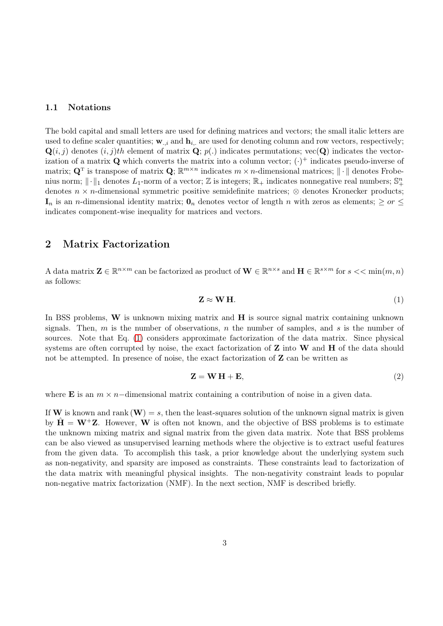### 1.1 Notations

The bold capital and small letters are used for defining matrices and vectors; the small italic letters are used to define scaler quantities;  $\mathbf{w}_{.,i}$  and  $\mathbf{h}_{i,.}$  are used for denoting column and row vectors, respectively;  $\mathbf{Q}(i, j)$  denotes  $(i, j)$ th element of matrix  $\mathbf{Q}; p(.)$  indicates permutations; vec $(\mathbf{Q})$  indicates the vectorization of a matrix **Q** which converts the matrix into a column vector;  $(\cdot)^+$  indicates pseudo-inverse of matrix;  $\mathbf{Q}^T$  is transpose of matrix  $\mathbf{Q}$ ;  $\mathbb{R}^{m \times n}$  indicates  $m \times n$ -dimensional matrices;  $\|\cdot\|$  denotes Frobenius norm;  $\|\cdot\|_1$  denotes  $L_1$ -norm of a vector;  $\mathbb Z$  is integers;  $\mathbb R_+$  indicates nonnegative real numbers;  $\mathbb S^n_+$ denotes  $n \times n$ -dimensional symmetric positive semidefinite matrices;  $\otimes$  denotes Kronecker products;  $I_n$  is an *n*-dimensional identity matrix;  $\mathbf{0}_n$  denotes vector of length *n* with zeros as elements;  $\geq$  or  $\leq$ indicates component-wise inequality for matrices and vectors.

### <span id="page-2-0"></span>2 Matrix Factorization

A data matrix  $\mathbf{Z} \in \mathbb{R}^{n \times m}$  can be factorized as product of  $\mathbf{W} \in \mathbb{R}^{n \times s}$  and  $\mathbf{H} \in \mathbb{R}^{s \times m}$  for  $s \ll \min(m, n)$ as follows:

<span id="page-2-1"></span>
$$
\mathbf{Z} \approx \mathbf{W} \, \mathbf{H}.\tag{1}
$$

In BSS problems,  $W$  is unknown mixing matrix and  $H$  is source signal matrix containing unknown signals. Then,  $m$  is the number of observations,  $n$  the number of samples, and  $s$  is the number of sources. Note that Eq. [\(1\)](#page-2-1) considers approximate factorization of the data matrix. Since physical systems are often corrupted by noise, the exact factorization of  $Z$  into  $W$  and  $H$  of the data should not be attempted. In presence of noise, the exact factorization of  $Z$  can be written as

$$
\mathbf{Z} = \mathbf{W} \, \mathbf{H} + \mathbf{E},\tag{2}
$$

where **E** is an  $m \times n$ –dimensional matrix containing a contribution of noise in a given data.

If W is known and rank  $(\mathbf{W}) = s$ , then the least-squares solution of the unknown signal matrix is given by  $\mathbf{H} = \mathbf{W}^{\dagger} \mathbf{Z}$ . However, W is often not known, and the objective of BSS problems is to estimate the unknown mixing matrix and signal matrix from the given data matrix. Note that BSS problems can be also viewed as unsupervised learning methods where the objective is to extract useful features from the given data. To accomplish this task, a prior knowledge about the underlying system such as non-negativity, and sparsity are imposed as constraints. These constraints lead to factorization of the data matrix with meaningful physical insights. The non-negativity constraint leads to popular non-negative matrix factorization (NMF). In the next section, NMF is described briefly.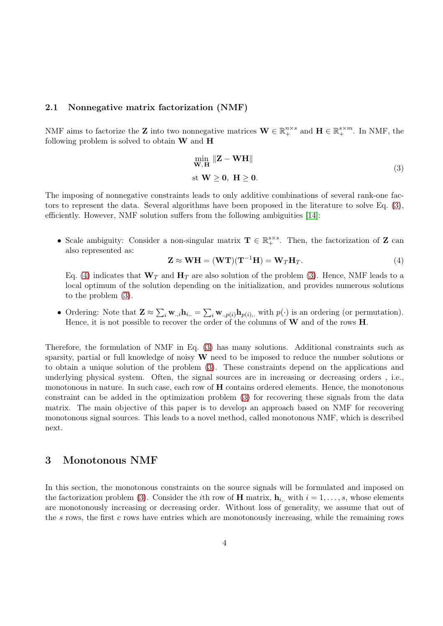### 2.1 Nonnegative matrix factorization (NMF)

NMF aims to factorize the **Z** into two nonnegative matrices  $\mathbf{W} \in \mathbb{R}^{n \times s}_{+}$  and  $\mathbf{H} \in \mathbb{R}^{s \times m}_{+}$ . In NMF, the following problem is solved to obtain  $W$  and  $H$ 

<span id="page-3-1"></span>
$$
\min_{\mathbf{W}, \mathbf{H}} \|\mathbf{Z} - \mathbf{W}\mathbf{H}\|
$$
  
st  $\mathbf{W} \geq \mathbf{0}, \ \mathbf{H} \geq \mathbf{0}.$  (3)

The imposing of nonnegative constraints leads to only additive combinations of several rank-one factors to represent the data. Several algorithms have been proposed in the literature to solve Eq. [\(3\)](#page-3-1), efficiently. However, NMF solution suffers from the following ambiguities [\[14\]](#page-10-4):

• Scale ambiguity: Consider a non-singular matrix  $\mathbf{T} \in \mathbb{R}^{s \times s}_{+}$ . Then, the factorization of **Z** can also represented as:

<span id="page-3-2"></span>
$$
\mathbf{Z} \approx \mathbf{W} \mathbf{H} = (\mathbf{W} \mathbf{T})(\mathbf{T}^{-1} \mathbf{H}) = \mathbf{W}_T \mathbf{H}_T.
$$
 (4)

Eq. [\(4\)](#page-3-2) indicates that  $\mathbf{W}_T$  and  $\mathbf{H}_T$  are also solution of the problem [\(3\)](#page-3-1). Hence, NMF leads to a local optimum of the solution depending on the initialization, and provides numerous solutions to the problem [\(3\)](#page-3-1).

• Ordering: Note that  $\mathbf{Z} \approx \sum_i \mathbf{w}_{.,i} \mathbf{h}_{i,.} = \sum_i \mathbf{w}_{.,p(i)} \mathbf{h}_{p(i),.}$  with  $p(\cdot)$  is an ordering (or permutation). Hence, it is not possible to recover the order of the columns of W and of the rows H.

Therefore, the formulation of NMF in Eq. [\(3\)](#page-3-1) has many solutions. Additional constraints such as sparsity, partial or full knowledge of noisy  $W$  need to be imposed to reduce the number solutions or to obtain a unique solution of the problem [\(3\)](#page-3-1). These constraints depend on the applications and underlying physical system. Often, the signal sources are in increasing or decreasing orders , i.e., monotonous in nature. In such case, each row of  **contains ordered elements. Hence, the monotonous** constraint can be added in the optimization problem [\(3\)](#page-3-1) for recovering these signals from the data matrix. The main objective of this paper is to develop an approach based on NMF for recovering monotonous signal sources. This leads to a novel method, called monotonous NMF, which is described next.

### <span id="page-3-0"></span>3 Monotonous NMF

In this section, the monotonous constraints on the source signals will be formulated and imposed on the factorization problem [\(3\)](#page-3-1). Consider the *i*th row of **H** matrix,  $\mathbf{h}_{i,:}$  with  $i = 1, \ldots, s$ , whose elements are monotonously increasing or decreasing order. Without loss of generality, we assume that out of the s rows, the first c rows have entries which are monotonously increasing, while the remaining rows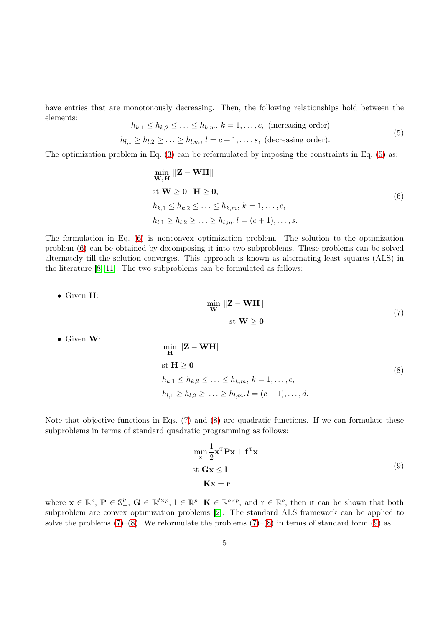have entries that are monotonously decreasing. Then, the following relationships hold between the elements:  $\leq h, \leq \leq h, \quad k = 1, \quad \text{a (inergains order)}$ 

<span id="page-4-0"></span>
$$
n_{k,1} \ge n_{k,2} \ge \dots \ge n_{k,m}, \ k = 1, \dots, c,
$$
 (increasing order)  

$$
h_{l,1} \ge h_{l,2} \ge \dots \ge h_{l,m}, \ l = c+1, \dots, s,
$$
 (decreasing order). (5)

The optimization problem in Eq. [\(3\)](#page-3-1) can be reformulated by imposing the constraints in Eq. [\(5\)](#page-4-0) as:

<span id="page-4-1"></span>
$$
\min_{\mathbf{W}, \mathbf{H}} \|\mathbf{Z} - \mathbf{W}\mathbf{H}\|
$$
  
st  $\mathbf{W} \geq \mathbf{0}, \mathbf{H} \geq \mathbf{0},$   

$$
h_{k,1} \leq h_{k,2} \leq \ldots \leq h_{k,m}, k = 1, \ldots, c,
$$
  

$$
h_{l,1} \geq h_{l,2} \geq \ldots \geq h_{l,m}.l = (c+1), \ldots, s.
$$
  
(6)

The formulation in Eq. [\(6\)](#page-4-1) is nonconvex optimization problem. The solution to the optimization problem [\(6\)](#page-4-1) can be obtained by decomposing it into two subproblems. These problems can be solved alternately till the solution converges. This approach is known as alternating least squares (ALS) in the literature [\[8,](#page-10-5) [11\]](#page-10-6). The two subproblems can be formulated as follows:

• Given H:

<span id="page-4-2"></span>
$$
\begin{aligned}\n\min_{\mathbf{W}} \|\mathbf{Z} - \mathbf{W}\mathbf{H}\| \\
\text{st } \mathbf{W} &\geq 0\n\end{aligned} \tag{7}
$$

• Given W:

<span id="page-4-3"></span>
$$
\min_{\mathbf{H}} \|\mathbf{Z} - \mathbf{W}\mathbf{H}\|
$$
\n
$$
\text{st } \mathbf{H} \ge \mathbf{0}
$$
\n
$$
h_{k,1} \le h_{k,2} \le \dots \le h_{k,m}, k = 1, \dots, c,
$$
\n
$$
h_{l,1} \ge h_{l,2} \ge \dots \ge h_{l,m}. l = (c+1), \dots, d.
$$
\n
$$
(8)
$$

Note that objective functions in Eqs. [\(7\)](#page-4-2) and [\(8\)](#page-4-3) are quadratic functions. If we can formulate these subproblems in terms of standard quadratic programming as follows:

<span id="page-4-4"></span>
$$
\min_{\mathbf{x}} \frac{1}{2} \mathbf{x}^{\mathrm{T}} \mathbf{P} \mathbf{x} + \mathbf{f}^{\mathrm{T}} \mathbf{x}
$$
  
st  $\mathbf{G} \mathbf{x} \le 1$   
 $\mathbf{K} \mathbf{x} = \mathbf{r}$  (9)

where  $\mathbf{x} \in \mathbb{R}^p$ ,  $\mathbf{P} \in \mathbb{S}^p_+$ ,  $\mathbf{G} \in \mathbb{R}^{t \times p}$ ,  $\mathbf{l} \in \mathbb{R}^p$ ,  $\mathbf{K} \in \mathbb{R}^{b \times p}$ , and  $\mathbf{r} \in \mathbb{R}^b$ , then it can be shown that both subproblem are convex optimization problems [\[2\]](#page-9-5). The standard ALS framework can be applied to solve the problems  $(7)$ – $(8)$ . We reformulate the problems  $(7)$ – $(8)$  in terms of standard form  $(9)$  as: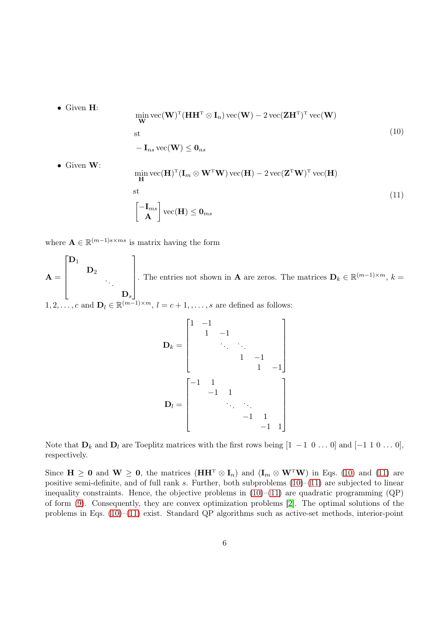• Given H:

<span id="page-5-0"></span>
$$
\min_{\mathbf{W}} \text{vec}(\mathbf{W})^{\text{T}} (\mathbf{H} \mathbf{H}^{\text{T}} \otimes \mathbf{I}_n) \text{vec}(\mathbf{W}) - 2 \text{vec}(\mathbf{Z} \mathbf{H}^{\text{T}})^{\text{T}} \text{vec}(\mathbf{W})
$$
  
st  
-  $\mathbf{I}_{ns} \text{vec}(\mathbf{W}) \leq \mathbf{0}_{ns}$  (10)

• Given W:

<span id="page-5-1"></span>
$$
\min_{\mathbf{H}} \text{vec}(\mathbf{H})^{\text{T}}(\mathbf{I}_m \otimes \mathbf{W}^{\text{T}} \mathbf{W}) \text{vec}(\mathbf{H}) - 2 \text{vec}(\mathbf{Z}^{\text{T}} \mathbf{W})^{\text{T}} \text{vec}(\mathbf{H})
$$
\n
$$
\text{st}
$$
\n
$$
\begin{bmatrix}\n-\mathbf{I}_{ms} \\
\mathbf{A}\n\end{bmatrix} \text{vec}(\mathbf{H}) \leq \mathbf{0}_{ms}
$$
\n(11)

where  $\mathbf{A} \in \mathbb{R}^{(m-1)s \times ms}$  is matrix having the form

 ${\bf A} =$  $\lceil$   $\mathbf{D}_1$  $\mathbf{D}_2$ . . .  $\mathbf{D}_s$ 1  $\begin{array}{c} \n\downarrow \\ \n\downarrow \n\end{array}$ . The entries not shown in **A** are zeros. The matrices  $\mathbf{D}_k \in \mathbb{R}^{(m-1)\times m}$ ,  $k =$  $1, 2, \ldots, c$  and  $\mathbf{D}_l \in \mathbb{R}^{(m-1)\times m}, l = c+1, \ldots, s$  are defined as follows:

$$
\mathbf{D}_{k} = \begin{bmatrix} 1 & -1 & & & & \\ & 1 & -1 & & & \\ & & \ddots & \ddots & & \\ & & & 1 & -1 & \\ & & & 1 & -1 & \\ & & & & 1 & -1 \end{bmatrix}
$$

$$
\mathbf{D}_{l} = \begin{bmatrix} -1 & 1 & & & & \\ & -1 & 1 & & & \\ & & \ddots & \ddots & & \\ & & & -1 & 1 & \\ & & & & -1 & 1 \end{bmatrix}
$$

Note that  $D_k$  and  $D_l$  are Toeplitz matrices with the first rows being  $[1 \ -1 \ 0 \dots 0]$  and  $[-1 \ 1 \ 0 \dots 0]$ , respectively.

Since  $H \ge 0$  and  $W \ge 0$ , the matrices  $(HH^T \otimes I_n)$  and  $(I_m \otimes W^T W)$  in Eqs. [\(10\)](#page-5-0) and [\(11\)](#page-5-1) are positive semi-definite, and of full rank s. Further, both subproblems  $(10)–(11)$  $(10)–(11)$  are subjected to linear inequality constraints. Hence, the objective problems in  $(10)$ – $(11)$  are quadratic programming  $(QP)$ of form [\(9\)](#page-4-4). Consequently, they are convex optimization problems [\[2\]](#page-9-5). The optimal solutions of the problems in Eqs. [\(10\)](#page-5-0)–[\(11\)](#page-5-1) exist. Standard QP algorithms such as active-set methods, interior-point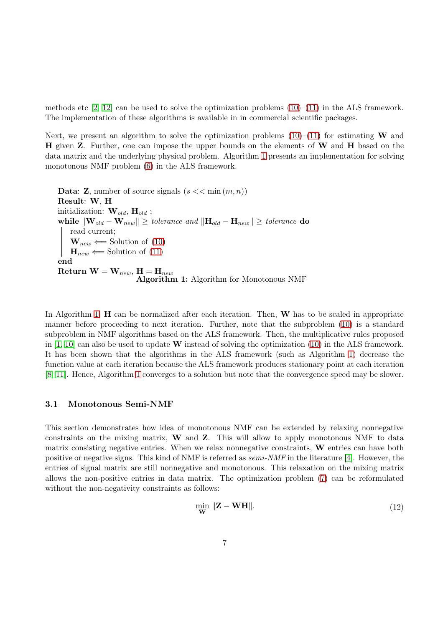methods etc  $[2, 12]$  $[2, 12]$  can be used to solve the optimization problems  $(10)$ – $(11)$  in the ALS framework. The implementation of these algorithms is available in in commercial scientific packages.

Next, we present an algorithm to solve the optimization problems  $(10)$ – $(11)$  for estimating W and H given Z. Further, one can impose the upper bounds on the elements of W and H based on the data matrix and the underlying physical problem. Algorithm [1](#page-6-0) presents an implementation for solving monotonous NMF problem [\(6\)](#page-4-1) in the ALS framework.

<span id="page-6-0"></span>**Data: Z**, number of source signals  $(s \ll \min(m, n))$ Result: W, H initialization:  $\mathbf{W}_{old}$ ,  $\mathbf{H}_{old}$ ; while  $\|\mathbf{W}_{old} - \mathbf{W}_{new}\| \geq \text{tolerance}$  and  $\|\mathbf{H}_{old} - \mathbf{H}_{new}\| \geq \text{tolerance}$  do read current;  $\mathbf{W}_{new} \leftarrow$  Solution of [\(10\)](#page-5-0)  $\mathbf{H}_{new} \leftarrow$  Solution of [\(11\)](#page-5-1) end Return  $\mathbf{W} = \mathbf{W}_{new}, \mathbf{H} = \mathbf{H}_{new}$ Algorithm 1: Algorithm for Monotonous NMF

In Algorithm [1,](#page-6-0)  $\bf{H}$  can be normalized after each iteration. Then,  $\bf{W}$  has to be scaled in appropriate manner before proceeding to next iteration. Further, note that the subproblem [\(10\)](#page-5-0) is a standard subproblem in NMF algorithms based on the ALS framework. Then, the multiplicative rules proposed in  $[1, 10]$  $[1, 10]$  can also be used to update **W** instead of solving the optimization  $(10)$  in the ALS framework. It has been shown that the algorithms in the ALS framework (such as Algorithm [1\)](#page-6-0) decrease the function value at each iteration because the ALS framework produces stationary point at each iteration [\[8,](#page-10-5) [11\]](#page-10-6). Hence, Algorithm [1](#page-6-0) converges to a solution but note that the convergence speed may be slower.

#### 3.1 Monotonous Semi-NMF

This section demonstrates how idea of monotonous NMF can be extended by relaxing nonnegative constraints on the mixing matrix,  $W$  and  $Z$ . This will allow to apply monotonous NMF to data matrix consisting negative entries. When we relax nonnegative constraints, W entries can have both positive or negative signs. This kind of NMF is referred as  $semi\text{-}NMF$  in the literature [\[4\]](#page-9-1). However, the entries of signal matrix are still nonnegative and monotonous. This relaxation on the mixing matrix allows the non-positive entries in data matrix. The optimization problem [\(7\)](#page-4-2) can be reformulated without the non-negativity constraints as follows:

<span id="page-6-1"></span>
$$
\min_{\mathbf{W}} \|\mathbf{Z} - \mathbf{WH}\|.\tag{12}
$$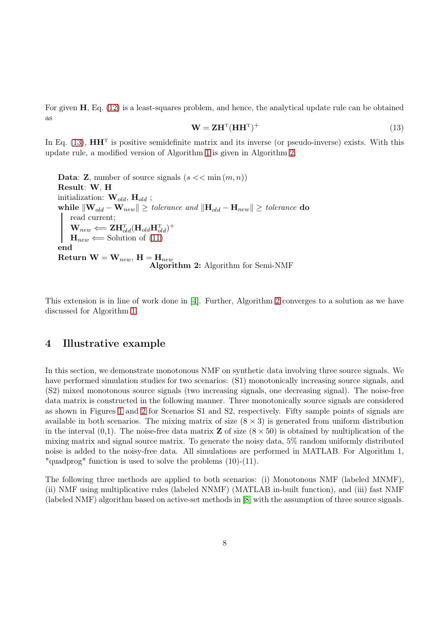For given H, Eq. [\(12\)](#page-6-1) is a least-squares problem, and hence, the analytical update rule can be obtained as

<span id="page-7-1"></span>
$$
\mathbf{W} = \mathbf{Z}\mathbf{H}^{\mathrm{T}}(\mathbf{H}\mathbf{H}^{\mathrm{T}})^{+}
$$
\n(13)

In Eq.  $(13)$ ,  $\mathbf{H}\mathbf{H}^T$  is positive semidefinite matrix and its inverse (or pseudo-inverse) exists. With this update rule, a modified version of Algorithm [1](#page-6-0) is given in Algorithm [2.](#page-7-2)

<span id="page-7-2"></span>**Data: Z**, number of source signals  $(s \lt \lt \min(m, n))$ Result: W, H initialization:  $\mathbf{W}_{old}$ ,  $\mathbf{H}_{old}$ ; while  $\|\mathbf{W}_{old} - \mathbf{W}_{new}\| \geq \text{tolerance} \text{ and } \|\mathbf{H}_{old} - \mathbf{H}_{new}\| \geq \text{tolerance} \text{ do}$ read current;  $\mathbf{W}_{new} \Longleftarrow \mathbf{ZH}_{old}^{\mathrm{T}}(\mathbf{H}_{old}\mathbf{H}_{old}^{\mathrm{T}})^{+}$  $\mathbf{H}_{new} \leftarrow$  Solution of [\(11\)](#page-5-1) end Return  $\mathbf{W} = \mathbf{W}_{new}$ ,  $\mathbf{H} = \mathbf{H}_{new}$ Algorithm 2: Algorithm for Semi-NMF

This extension is in line of work done in [\[4\]](#page-9-1). Further, Algorithm [2](#page-7-2) converges to a solution as we have discussed for Algorithm [1.](#page-6-0)

## <span id="page-7-0"></span>4 Illustrative example

In this section, we demonstrate monotonous NMF on synthetic data involving three source signals. We have performed simulation studies for two scenarios:  $(S1)$  monotonically increasing source signals, and (S2) mixed monotonous source signals (two increasing signals, one decreasing signal). The noise-free data matrix is constructed in the following manner. Three monotonically source signals are considered as shown in Figures [1](#page-8-1) and [2](#page-9-6) for Scenarios S1 and S2, respectively. Fifty sample points of signals are available in both scenarios. The mixing matrix of size  $(8 \times 3)$  is generated from uniform distribution in the interval  $(0,1)$ . The noise-free data matrix **Z** of size  $(8 \times 50)$  is obtained by multiplication of the mixing matrix and signal source matrix. To generate the noisy data, 5% random uniformly distributed noise is added to the noisy-free data. All simulations are performed in MATLAB. For Algorithm 1, "quadprog" function is used to solve the problems (10)-(11).

The following three methods are applied to both scenarios: (i) Monotonous NMF (labeled MNMF), (ii) NMF using multiplicative rules (labeled NNMF) (MATLAB in-built function), and (iii) fast NMF (labeled NMF) algorithm based on active-set methods in [\[8\]](#page-10-5) with the assumption of three source signals.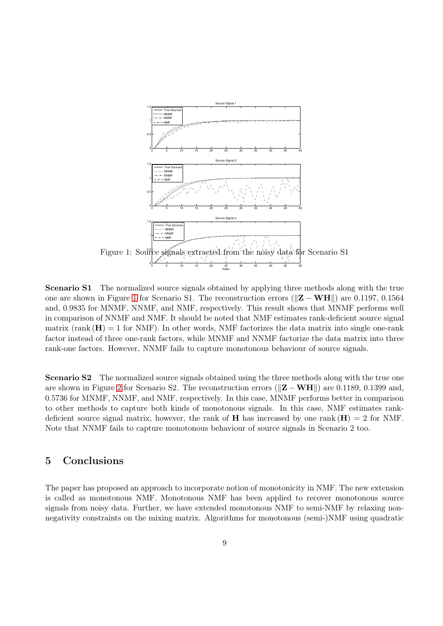

<span id="page-8-1"></span>Scenario S1 The normalized source signals obtained by applying three methods along with the true one are shown in Figure [1](#page-8-1) for Scenario S1. The reconstruction errors ( $\mathbf{Z} - \mathbf{WH}$ ) are 0.1197, 0.1564 and, 0.9835 for MNMF, NNMF, and NMF, respectively. This result shows that MNMF performs well in comparison of NNMF and NMF. It should be noted that NMF estimates rank-deficient source signal matrix (rank  $(H) = 1$  for NMF). In other words, NMF factorizes the data matrix into single one-rank factor instead of three one-rank factors, while MNMF and NNMF factorize the data matrix into three rank-one factors. However, NNMF fails to capture monotonous behaviour of source signals.

Scenario S2 The normalized source signals obtained using the three methods along with the true one are shown in Figure [2](#page-9-6) for Scenario S2. The reconstruction errors ( $\|\mathbf{Z} - \mathbf{WH}\|$ ) are 0.1189, 0.1399 and, 0.5736 for MNMF, NNMF, and NMF, respectively. In this case, MNMF performs better in comparison to other methods to capture both kinds of monotonous signals. In this case, NMF estimates rankdeficient source signal matrix, however, the rank of **H** has increased by one rank  $(H) = 2$  for NMF. Note that NNMF fails to capture monotonous behaviour of source signals in Scenario 2 too.

# <span id="page-8-0"></span>5 Conclusions

The paper has proposed an approach to incorporate notion of monotonicity in NMF. The new extension is called as monotonous NMF. Monotonous NMF has been applied to recover monotonous source signals from noisy data. Further, we have extended monotonous NMF to semi-NMF by relaxing nonnegativity constraints on the mixing matrix. Algorithms for monotonous (semi-)NMF using quadratic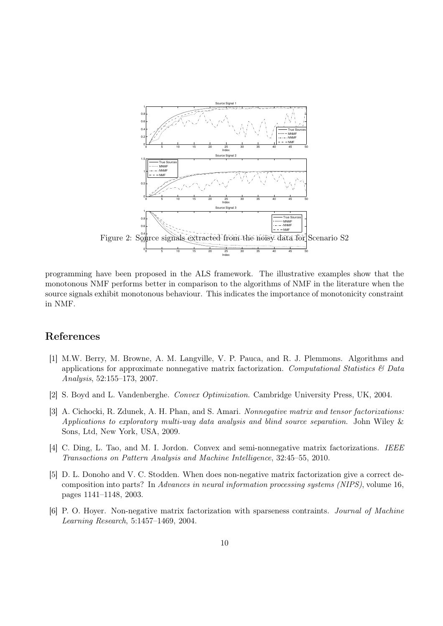

<span id="page-9-6"></span>programming have been proposed in the ALS framework. The illustrative examples show that the monotonous NMF performs better in comparison to the algorithms of NMF in the literature when the source signals exhibit monotonous behaviour. This indicates the importance of monotonicity constraint in NMF.

### <span id="page-9-3"></span>References

- [1] M.W. Berry, M. Browne, A. M. Langville, V. P. Pauca, and R. J. Plemmons. Algorithms and applications for approximate nonnegative matrix factorization. Computational Statistics  $\mathcal{B}$  Data Analysis, 52:155–173, 2007.
- <span id="page-9-5"></span><span id="page-9-0"></span>[2] S. Boyd and L. Vandenberghe. Convex Optimization. Cambridge University Press, UK, 2004.
- [3] A. Cichocki, R. Zdunek, A. H. Phan, and S. Amari. Nonnegative matrix and tensor factorizations: Applications to exploratory multi-way data analysis and blind source separation. John Wiley & Sons, Ltd, New York, USA, 2009.
- <span id="page-9-4"></span><span id="page-9-1"></span>[4] C. Ding, L. Tao, and M. I. Jordon. Convex and semi-nonnegative matrix factorizations. IEEE Transactions on Pattern Analysis and Machine Intelligence, 32:45–55, 2010.
- [5] D. L. Donoho and V. C. Stodden. When does non-negative matrix factorization give a correct decomposition into parts? In Advances in neural information processing systems (NIPS), volume 16, pages 1141–1148, 2003.
- <span id="page-9-2"></span>[6] P. O. Hoyer. Non-negative matrix factorization with sparseness contraints. Journal of Machine Learning Research, 5:1457–1469, 2004.